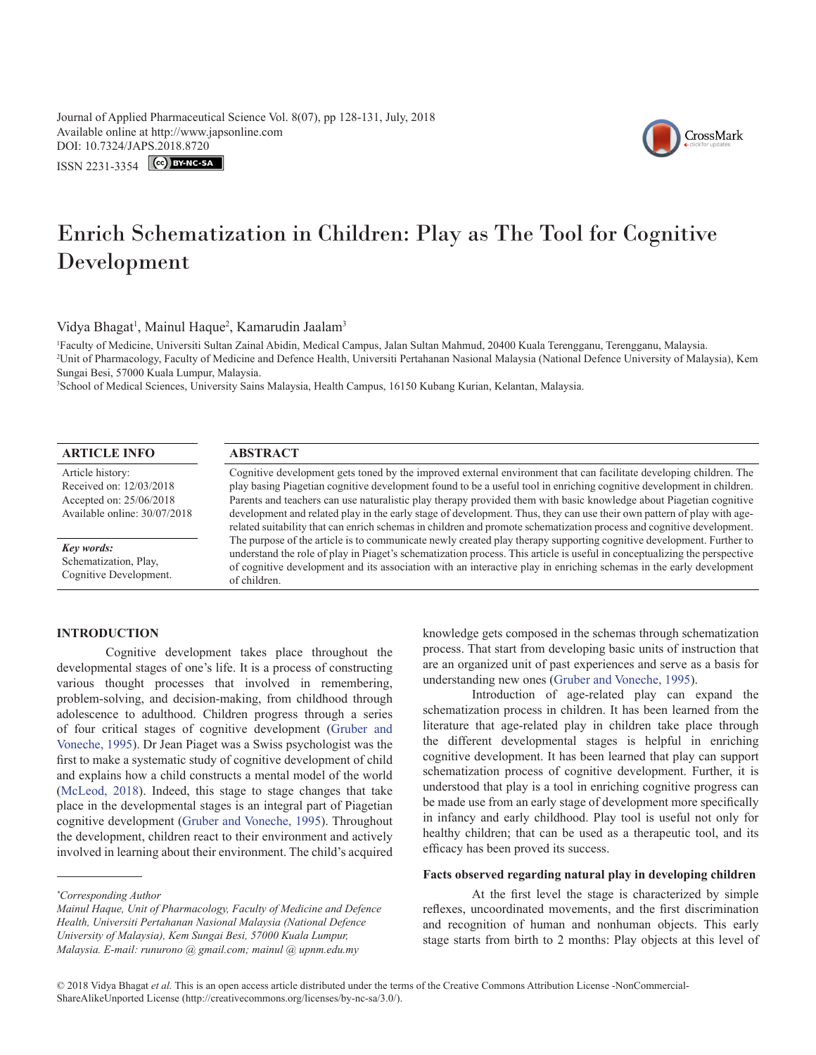Journal of Applied Pharmaceutical Science Vol. 8(07), pp 128-131, July, 2018 Available online at http://www.japsonline.com DOI: 10.7324/JA[PS.2018.8720](https://creativecommons.org/licenses/by-nc-sa/3.0/)

ISSN 2231-3354 CC BY-NC-SA



# Enrich Schematization in Children: Play as The Tool for Cognitive Development

Vidya Bhagat<sup>1</sup>, Mainul Haque<sup>2</sup>, Kamarudin Jaalam<sup>3</sup>

1 Faculty of Medicine, Universiti Sultan Zainal Abidin, Medical Campus, Jalan Sultan Mahmud, 20400 Kuala Terengganu, Terengganu, Malaysia. 2 Unit of Pharmacology, Faculty of Medicine and Defence Health, Universiti Pertahanan Nasional Malaysia (National Defence University of Malaysia), Kem Sungai Besi, 57000 Kuala Lumpur, Malaysia.

3 School of Medical Sciences, University Sains Malaysia, Health Campus, 16150 Kubang Kurian, Kelantan, Malaysia.

# **ARTICLE INFO ABSTRACT**

Article history: Received on: 12/03/2018 Accepted on: 25/06/2018 Available online: 30/07/2018

*Key words:* Schematization, Play, Cognitive Development.

Cognitive development gets toned by the improved external environment that can facilitate developing children. The play basing Piagetian cognitive development found to be a useful tool in enriching cognitive development in children. Parents and teachers can use naturalistic play therapy provided them with basic knowledge about Piagetian cognitive development and related play in the early stage of development. Thus, they can use their own pattern of play with agerelated suitability that can enrich schemas in children and promote schematization process and cognitive development. The purpose of the article is to communicate newly created play therapy supporting cognitive development. Further to understand the role of play in Piaget's schematization process. This article is useful in conceptualizing the perspective of cognitive development and its association with an interactive play in enriching schemas in the early development of children.

# **INTRODUCTION**

Cognitive development takes place throughout the developmental stages of one's life. It is a process of constructing various thought processes that involved in remembering, problem-solving, and decision-making, from childhood through adolescence to adulthood. Children progress through a series of four critical stages of cognitive development ([Gruber and](#page-3-0)  [Voneche, 1995](#page-3-0)). Dr Jean Piaget was a Swiss psychologist was the first to make a systematic study of cognitive development of child and explains how a child constructs a mental model of the world ([McLeod, 2018](#page-3-1)). Indeed, this stage to stage changes that take place in the developmental stages is an integral part of Piagetian cognitive development ([Gruber and Voneche, 1995\)](#page-3-0). Throughout the development, children react to their environment and actively involved in learning about their environment. The child's acquired

knowledge gets composed in the schemas through schematization process. That start from developing basic units of instruction that are an organized unit of past experiences and serve as a basis for understanding new ones ([Gruber and Voneche, 1995](#page-3-0)).

Introduction of age-related play can expand the schematization process in children. It has been learned from the literature that age-related play in children take place through the different developmental stages is helpful in enriching cognitive development. It has been learned that play can support schematization process of cognitive development. Further, it is understood that play is a tool in enriching cognitive progress can be made use from an early stage of development more specifically in infancy and early childhood. Play tool is useful not only for healthy children; that can be used as a therapeutic tool, and its efficacy has been proved its success.

#### **Facts observed regarding natural play in developing children**

At the first level the stage is characterized by simple reflexes, uncoordinated movements, and the first discrimination and recognition of human and nonhuman objects. This early stage starts from birth to 2 months: Play objects at this level of

*<sup>\*</sup> Corresponding Author*

*Mainul Haque, Unit of Pharmacology, Faculty of Medicine and Defence Health, Universiti Pertahanan Nasional Malaysia (National Defence University of Malaysia), Kem Sungai Besi, 57000 Kuala Lumpur, Malaysia. E-mail: runurono @ gmail.com; mainul @ upnm.edu.my*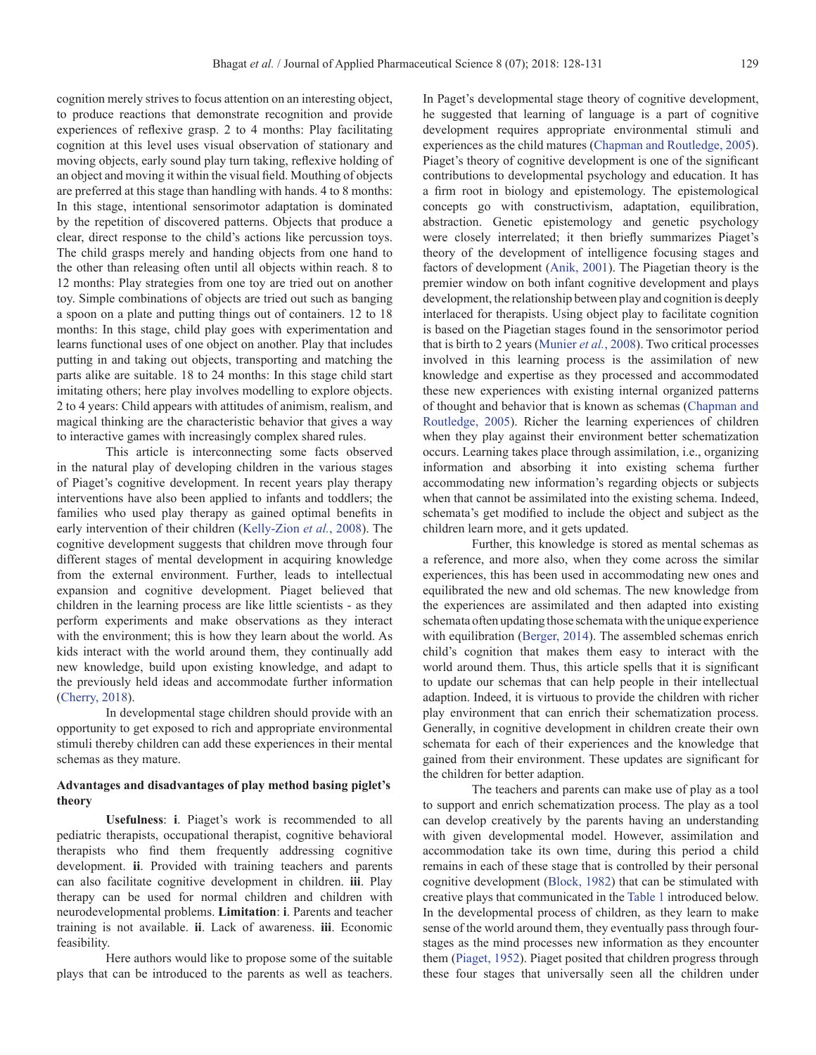cognition merely strives to focus attention on an interesting object, to produce reactions that demonstrate recognition and provide experiences of reflexive grasp. 2 to 4 months: Play facilitating cognition at this level uses visual observation of stationary and moving objects, early sound play turn taking, reflexive holding of an object and moving it within the visual field. Mouthing of objects are preferred at this stage than handling with hands. 4 to 8 months: In this stage, intentional sensorimotor adaptation is dominated by the repetition of discovered patterns. Objects that produce a clear, direct response to the child's actions like percussion toys. The child grasps merely and handing objects from one hand to the other than releasing often until all objects within reach. 8 to 12 months: Play strategies from one toy are tried out on another toy. Simple combinations of objects are tried out such as banging a spoon on a plate and putting things out of containers. 12 to 18 months: In this stage, child play goes with experimentation and learns functional uses of one object on another. Play that includes putting in and taking out objects, transporting and matching the parts alike are suitable. 18 to 24 months: In this stage child start imitating others; here play involves modelling to explore objects. 2 to 4 years: Child appears with attitudes of animism, realism, and magical thinking are the characteristic behavior that gives a way to interactive games with increasingly complex shared rules.

This article is interconnecting some facts observed in the natural play of developing children in the various stages of Piaget's cognitive development. In recent years play therapy interventions have also been applied to infants and toddlers; the families who used play therapy as gained optimal benefits in early intervention of their children (Kelly-Zion *et al.*, 2008). The cognitive development suggests that children move through four different stages of mental development in acquiring knowledge from the external environment. Further, leads to intellectual expansion and cognitive development. Piaget believed that children in the learning process are like little scientists - as they perform experiments and make observations as they interact with the environment; this is how they learn about the world. As kids interact with the world around them, they continually add new knowledge, build upon existing knowledge, and adapt to the previously held ideas and accommodate further information (Cherry, 2018).

In developmental stage children should provide with an opportunity to get exposed to rich and appropriate environmental stimuli thereby children can add these experiences in their mental schemas as they mature.

# **Advantages and disadvantages of play method basing piglet's theory**

**Usefulness**: **i**. Piaget's work is recommended to all pediatric therapists, occupational therapist, cognitive behavioral therapists who find them frequently addressing cognitive development. **ii**. Provided with training teachers and parents can also facilitate cognitive development in children. **iii**. Play therapy can be used for normal children and children with neurodevelopmental problems. **Limitation**: **i**. Parents and teacher training is not available. **ii**. Lack of awareness. **iii**. Economic feasibility.

Here authors would like to propose some of the suitable plays that can be introduced to the parents as well as teachers.

In Paget's developmental stage theory of cognitive development, he suggested that learning of language is a part of cognitive development requires appropriate environmental stimuli and experiences as the child matures ([Chapman and Routledge, 2005\)](#page-3-2). Piaget's theory of cognitive development is one of the significant contributions to developmental psychology and education. It has a firm root in biology and epistemology. The epistemological concepts go with constructivism, adaptation, equilibration, abstraction. Genetic epistemology and genetic psychology were closely interrelated; it then briefly summarizes Piaget's theory of the development of intelligence focusing stages and factors of development (Anik, 2001). The Piagetian theory is the premier window on both infant cognitive development and plays development, the relationship between play and cognition is deeply interlaced for therapists. Using object play to facilitate cognition is based on the Piagetian stages found in the sensorimotor period that is birth to 2 years (Munier *et al.*, 2008). Two critical processes involved in this learning process is the assimilation of new knowledge and expertise as they processed and accommodated these new experiences with existing internal organized patterns of thought and behavior that is known as schemas [\(Chapman and](#page-3-2) [Routledge, 2005\)](#page-3-2). Richer the learning experiences of children when they play against their environment better schematization occurs. Learning takes place through assimilation, i.e., organizing information and absorbing it into existing schema further accommodating new information's regarding objects or subjects when that cannot be assimilated into the existing schema. Indeed, schemata's get modified to include the object and subject as the children learn more, and it gets updated.

Further, this knowledge is stored as mental schemas as a reference, and more also, when they come across the similar experiences, this has been used in accommodating new ones and equilibrated the new and old schemas. The new knowledge from the experiences are assimilated and then adapted into existing schemata often updating those schemata with the unique experience with equilibration [\(Berger, 2014\)](#page-2-0). The assembled schemas enrich child's cognition that makes them easy to interact with the world around them. Thus, this article spells that it is significant to update our schemas that can help people in their intellectual adaption. Indeed, it is virtuous to provide the children with richer play environment that can enrich their schematization process. Generally, in cognitive development in children create their own schemata for each of their experiences and the knowledge that gained from their environment. These updates are significant for the children for better adaption.

The teachers and parents can make use of play as a tool to support and enrich schematization process. The play as a tool can develop creatively by the parents having an understanding with given developmental model. However, assimilation and accommodation take its own time, during this period a child remains in each of these stage that is controlled by their personal cognitive development [\(Block, 1982\)](#page-3-3) that can be stimulated with creative plays that communicated in the [Table 1](#page-2-1) introduced below. In the developmental process of children, as they learn to make sense of the world around them, they eventually pass through fourstages as the mind processes new information as they encounter them [\(Piaget, 1952\)](#page-3-4). Piaget posited that children progress through these four stages that universally seen all the children under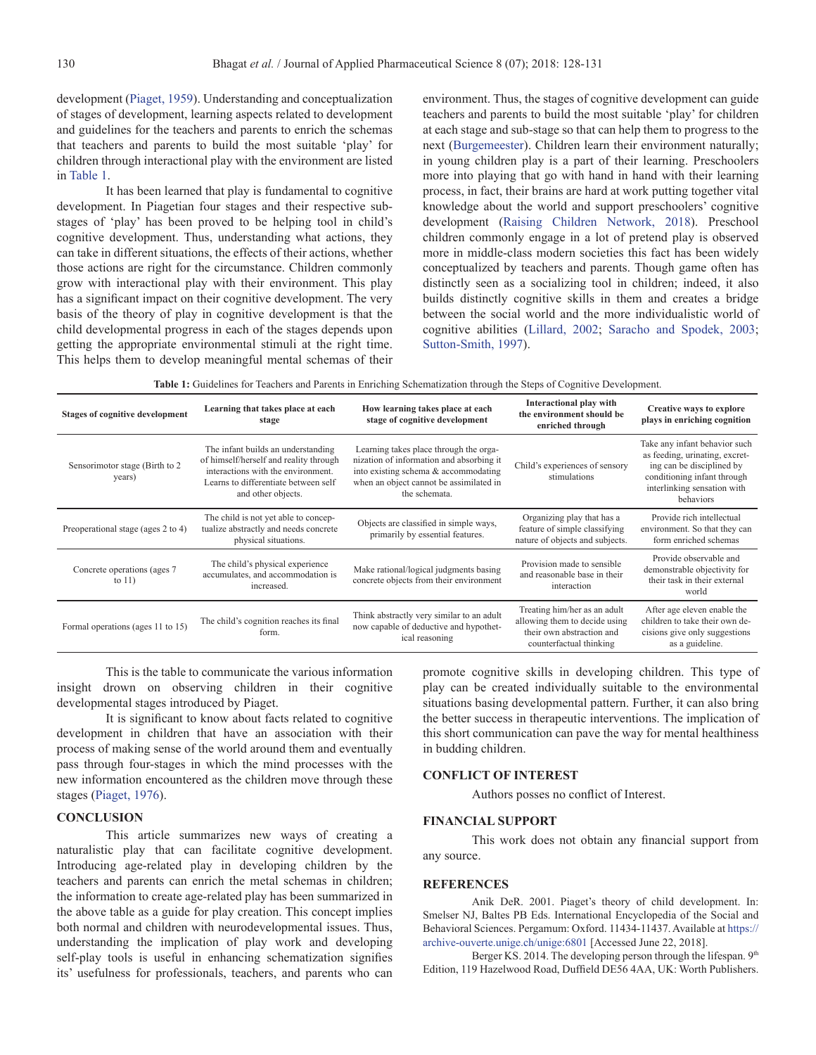development [\(Piaget, 1959\)](#page-3-5). Understanding and conceptualization of stages of development, learning aspects related to development and guidelines for the teachers and parents to enrich the schemas that teachers and parents to build the most suitable 'play' for children through interactional play with the environment are listed in [Table 1.](#page-2-1)

It has been learned that play is fundamental to cognitive development. In Piagetian four stages and their respective substages of 'play' has been proved to be helping tool in child's cognitive development. Thus, understanding what actions, they can take in different situations, the effects of their actions, whether those actions are right for the circumstance. Children commonly grow with interactional play with their environment. This play has a significant impact on their cognitive development. The very basis of the theory of play in cognitive development is that the child developmental progress in each of the stages depends upon getting the appropriate environmental stimuli at the right time. This helps them to develop meaningful mental schemas of their environment. Thus, the stages of cognitive development can guide teachers and parents to build the most suitable 'play' for children at each stage and sub-stage so that can help them to progress to the next (Burgemeester). Children learn their environment naturally; in young children play is a part of their learning. Preschoolers more into playing that go with hand in hand with their learning process, in fact, their brains are hard at work putting together vital knowledge about the world and support preschoolers' cognitive development (Raising Children Network, 2018). Preschool children commonly engage in a lot of pretend play is observed more in middle-class modern societies this fact has been widely conceptualized by teachers and parents. Though game often has distinctly seen as a socializing tool in children; indeed, it also builds distinctly cognitive skills in them and creates a bridge between the social world and the more individualistic world of cognitive abilities ([Lillard, 2002](#page-3-6); [Saracho and Spodek, 2003;](#page-3-7) [Sutton-Smith, 1997\)](#page-3-8).

<span id="page-2-1"></span>

| Table 1: Guidelines for Teachers and Parents in Enriching Schematization through the Steps of Cognitive Development. |  |  |  |
|----------------------------------------------------------------------------------------------------------------------|--|--|--|
|----------------------------------------------------------------------------------------------------------------------|--|--|--|

| <b>Stages of cognitive development</b>    | Learning that takes place at each<br>stage                                                                                                                                       | How learning takes place at each<br>stage of cognitive development                                                                                                                     | Interactional play with<br>the environment should be<br>enriched through                                              | Creative ways to explore<br>plays in enriching cognition                                                                                                                       |
|-------------------------------------------|----------------------------------------------------------------------------------------------------------------------------------------------------------------------------------|----------------------------------------------------------------------------------------------------------------------------------------------------------------------------------------|-----------------------------------------------------------------------------------------------------------------------|--------------------------------------------------------------------------------------------------------------------------------------------------------------------------------|
| Sensorimotor stage (Birth to 2)<br>years) | The infant builds an understanding<br>of himself/herself and reality through<br>interactions with the environment.<br>Learns to differentiate between self<br>and other objects. | Learning takes place through the orga-<br>nization of information and absorbing it<br>into existing schema & accommodating<br>when an object cannot be assimilated in<br>the schemata. | Child's experiences of sensory<br>stimulations                                                                        | Take any infant behavior such<br>as feeding, urinating, excret-<br>ing can be disciplined by<br>conditioning infant through<br>interlinking sensation with<br><b>behaviors</b> |
| Preoperational stage (ages 2 to 4)        | The child is not yet able to concep-<br>tualize abstractly and needs concrete<br>physical situations.                                                                            | Objects are classified in simple ways,<br>primarily by essential features.                                                                                                             | Organizing play that has a<br>feature of simple classifying<br>nature of objects and subjects.                        | Provide rich intellectual<br>environment. So that they can<br>form enriched schemas                                                                                            |
| Concrete operations (ages 7)<br>to $11)$  | The child's physical experience<br>accumulates, and accommodation is<br>increased.                                                                                               | Make rational/logical judgments basing<br>concrete objects from their environment                                                                                                      | Provision made to sensible<br>and reasonable base in their<br>interaction                                             | Provide observable and<br>demonstrable objectivity for<br>their task in their external<br>world                                                                                |
| Formal operations (ages 11 to 15)         | The child's cognition reaches its final<br>form.                                                                                                                                 | Think abstractly very similar to an adult<br>now capable of deductive and hypothet-<br>ical reasoning                                                                                  | Treating him/her as an adult<br>allowing them to decide using<br>their own abstraction and<br>counterfactual thinking | After age eleven enable the<br>children to take their own de-<br>cisions give only suggestions<br>as a guideline.                                                              |

This is the table to communicate the various information insight drown on observing children in their cognitive developmental stages introduced by Piaget.

It is significant to know about facts related to cognitive development in children that have an association with their process of making sense of the world around them and eventually pass through four-stages in which the mind processes with the new information encountered as the children move through these stages (Piaget, 1976).

# **CONCLUSION**

This article summarizes new ways of creating a naturalistic play that can facilitate cognitive development. Introducing age-related play in developing children by the teachers and parents can enrich the metal schemas in children; the information to create age-related play has been summarized in the above table as a guide for play creation. This concept implies both normal and children with neurodevelopmental issues. Thus, understanding the implication of play work and developing self-play tools is useful in enhancing schematization signifies its' usefulness for professionals, teachers, and parents who can

promote cognitive skills in developing children. This type of play can be created individually suitable to the environmental situations basing developmental pattern. Further, it can also bring the better success in therapeutic interventions. The implication of this short communication can pave the way for mental healthiness in budding children.

### **CONFLICT OF INTEREST**

Authors posses no conflict of Interest.

# **FINANCIAL SUPPORT**

This work does not obtain any financial support from any source.

# **REFERENCES**

Anik DeR. 2001. Piaget's theory of child development. In: Smelser NJ, Baltes PB Eds. International Encyclopedia of the Social and Behavioral Sciences. Pergamum: Oxford. 11434-11437. Available at https:// archive-ouverte.unige.ch/unige:6801 [Accessed June 22, 2018].

<span id="page-2-0"></span>Berger KS. 2014. The developing person through the lifespan. 9<sup>th</sup> Edition, 119 Hazelwood Road, Duffield DE56 4AA, UK: Worth Publishers.